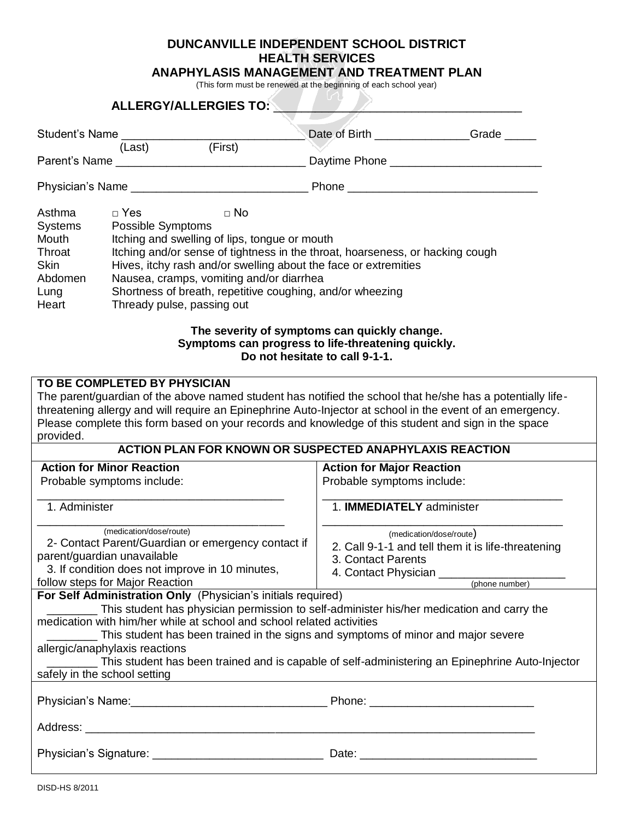## **DUNCANVILLE INDEPENDENT SCHOOL DISTRICT HEALTH SERVICES**

**ANAPHYLASIS MANAGEMENT AND TREATMENT PLAN**

(This form must be renewed at the beginning of each school year)

|                                                                                                                                                                                                    |                                                                                                                                                                                                                                                                                                                                                                                          | <b>ALLERGY/ALLERGIES TO:</b>                                                                                                                                                                                                                            |                                                                |                                                                                                                                                                                                                         |  |
|----------------------------------------------------------------------------------------------------------------------------------------------------------------------------------------------------|------------------------------------------------------------------------------------------------------------------------------------------------------------------------------------------------------------------------------------------------------------------------------------------------------------------------------------------------------------------------------------------|---------------------------------------------------------------------------------------------------------------------------------------------------------------------------------------------------------------------------------------------------------|----------------------------------------------------------------|-------------------------------------------------------------------------------------------------------------------------------------------------------------------------------------------------------------------------|--|
| Student's Name ________________                                                                                                                                                                    |                                                                                                                                                                                                                                                                                                                                                                                          |                                                                                                                                                                                                                                                         |                                                                | Date of Birth Grade                                                                                                                                                                                                     |  |
| (First)<br>(Last)                                                                                                                                                                                  |                                                                                                                                                                                                                                                                                                                                                                                          |                                                                                                                                                                                                                                                         |                                                                |                                                                                                                                                                                                                         |  |
|                                                                                                                                                                                                    |                                                                                                                                                                                                                                                                                                                                                                                          |                                                                                                                                                                                                                                                         | Daytime Phone ________________________________                 |                                                                                                                                                                                                                         |  |
|                                                                                                                                                                                                    |                                                                                                                                                                                                                                                                                                                                                                                          |                                                                                                                                                                                                                                                         |                                                                |                                                                                                                                                                                                                         |  |
| Asthma<br><b>Systems</b><br>Mouth<br>Throat<br><b>Skin</b><br>Abdomen<br>Lung<br>Heart                                                                                                             | $\Box$ Yes<br>$\Box$ No<br>Possible Symptoms<br>Itching and swelling of lips, tongue or mouth<br>Itching and/or sense of tightness in the throat, hoarseness, or hacking cough<br>Hives, itchy rash and/or swelling about the face or extremities<br>Nausea, cramps, vomiting and/or diarrhea<br>Shortness of breath, repetitive coughing, and/or wheezing<br>Thready pulse, passing out |                                                                                                                                                                                                                                                         |                                                                |                                                                                                                                                                                                                         |  |
|                                                                                                                                                                                                    |                                                                                                                                                                                                                                                                                                                                                                                          | The severity of symptoms can quickly change.<br>Symptoms can progress to life-threatening quickly.                                                                                                                                                      | Do not hesitate to call 9-1-1.                                 |                                                                                                                                                                                                                         |  |
| provided.                                                                                                                                                                                          | TO BE COMPLETED BY PHYSICIAN                                                                                                                                                                                                                                                                                                                                                             | Please complete this form based on your records and knowledge of this student and sign in the space                                                                                                                                                     |                                                                | The parent/guardian of the above named student has notified the school that he/she has a potentially life-<br>threatening allergy and will require an Epinephrine Auto-Injector at school in the event of an emergency. |  |
|                                                                                                                                                                                                    |                                                                                                                                                                                                                                                                                                                                                                                          | <b>ACTION PLAN FOR KNOWN OR SUSPECTED ANAPHYLAXIS REACTION</b>                                                                                                                                                                                          |                                                                |                                                                                                                                                                                                                         |  |
| <b>Action for Minor Reaction</b><br>Probable symptoms include:                                                                                                                                     |                                                                                                                                                                                                                                                                                                                                                                                          |                                                                                                                                                                                                                                                         | <b>Action for Major Reaction</b><br>Probable symptoms include: |                                                                                                                                                                                                                         |  |
| 1. Administer                                                                                                                                                                                      |                                                                                                                                                                                                                                                                                                                                                                                          |                                                                                                                                                                                                                                                         | 1. <b>IMMEDIATELY</b> administer                               |                                                                                                                                                                                                                         |  |
| (medication/dose/route)<br>2- Contact Parent/Guardian or emergency contact if<br>parent/guardian unavailable<br>3. If condition does not improve in 10 minutes,<br>follow steps for Major Reaction |                                                                                                                                                                                                                                                                                                                                                                                          |                                                                                                                                                                                                                                                         | 3. Contact Parents                                             | (medication/dose/route)<br>2. Call 9-1-1 and tell them it is life-threatening<br>4. Contact Physician _____________                                                                                                     |  |
|                                                                                                                                                                                                    |                                                                                                                                                                                                                                                                                                                                                                                          | For Self Administration Only (Physician's initials required)                                                                                                                                                                                            |                                                                | (phone number)                                                                                                                                                                                                          |  |
|                                                                                                                                                                                                    | allergic/anaphylaxis reactions<br>safely in the school setting                                                                                                                                                                                                                                                                                                                           | This student has physician permission to self-administer his/her medication and carry the<br>medication with him/her while at school and school related activities<br>This student has been trained in the signs and symptoms of minor and major severe |                                                                | This student has been trained and is capable of self-administering an Epinephrine Auto-Injector                                                                                                                         |  |
|                                                                                                                                                                                                    |                                                                                                                                                                                                                                                                                                                                                                                          |                                                                                                                                                                                                                                                         |                                                                |                                                                                                                                                                                                                         |  |
|                                                                                                                                                                                                    |                                                                                                                                                                                                                                                                                                                                                                                          |                                                                                                                                                                                                                                                         |                                                                |                                                                                                                                                                                                                         |  |
|                                                                                                                                                                                                    |                                                                                                                                                                                                                                                                                                                                                                                          |                                                                                                                                                                                                                                                         |                                                                |                                                                                                                                                                                                                         |  |